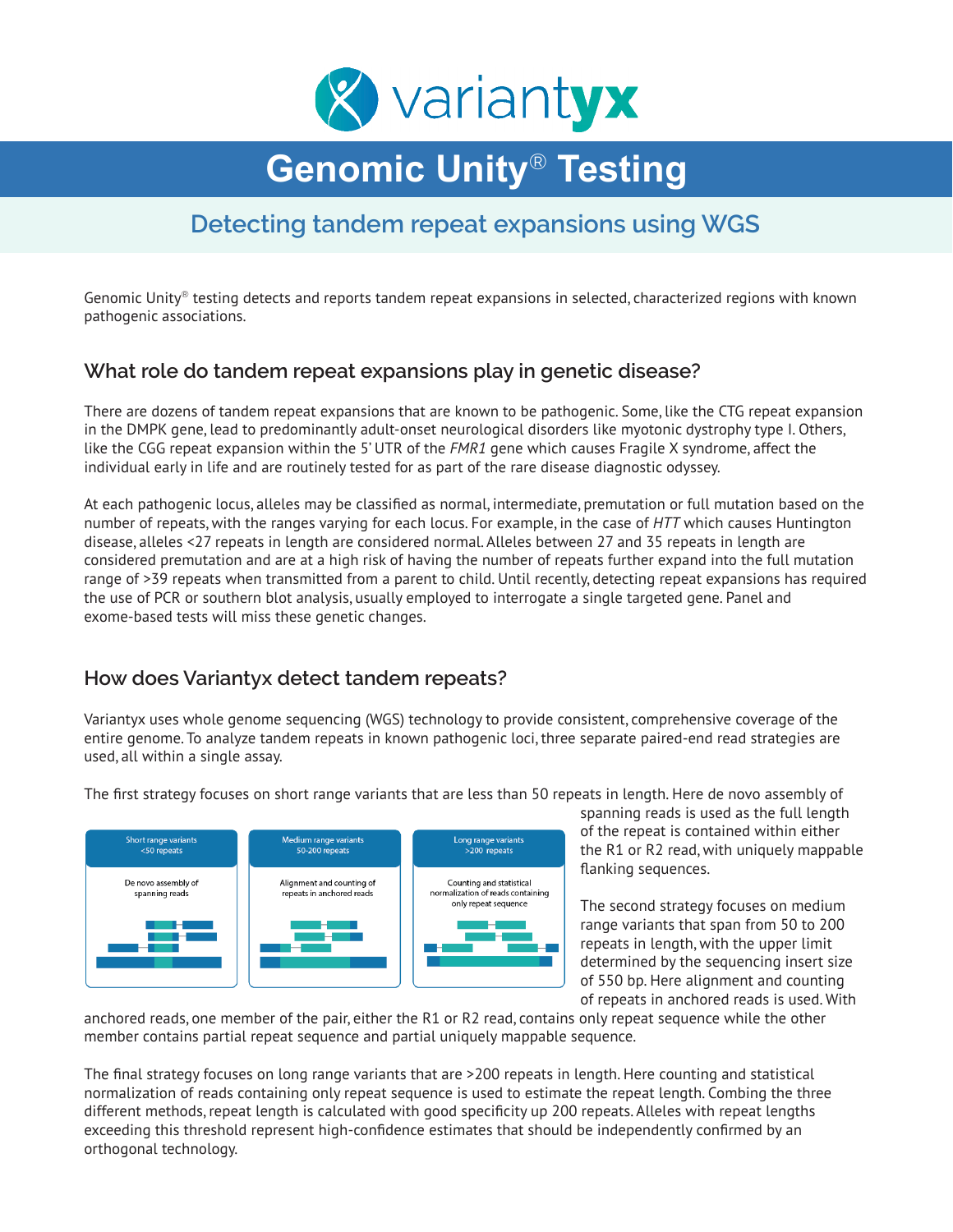

# **Genomic Unity**® **Testing**

# **Detecting tandem repeat expansions using WGS**

Genomic Unity® testing detects and reports tandem repeat expansions in selected, characterized regions with known pathogenic associations.

#### **What role do tandem repeat expansions play in genetic disease?**

There are dozens of tandem repeat expansions that are known to be pathogenic. Some, like the CTG repeat expansion in the DMPK gene, lead to predominantly adult-onset neurological disorders like myotonic dystrophy type I. Others, like the CGG repeat expansion within the 5' UTR of the *FMR1* gene which causes Fragile X syndrome, affect the individual early in life and are routinely tested for as part of the rare disease diagnostic odyssey.

At each pathogenic locus, alleles may be classified as normal, intermediate, premutation or full mutation based on the number of repeats, with the ranges varying for each locus. For example, in the case of *HTT* which causes Huntington disease, alleles <27 repeats in length are considered normal. Alleles between 27 and 35 repeats in length are considered premutation and are at a high risk of having the number of repeats further expand into the full mutation range of >39 repeats when transmitted from a parent to child. Until recently, detecting repeat expansions has required the use of PCR or southern blot analysis, usually employed to interrogate a single targeted gene. Panel and exome-based tests will miss these genetic changes.

#### **How does Variantyx detect tandem repeats?**

Variantyx uses whole genome sequencing (WGS) technology to provide consistent, comprehensive coverage of the entire genome. To analyze tandem repeats in known pathogenic loci, three separate paired-end read strategies are used, all within a single assay.

The first strategy focuses on short range variants that are less than 50 repeats in length. Here de novo assembly of



spanning reads is used as the full length of the repeat is contained within either the R1 or R2 read, with uniquely mappable flanking sequences.

The second strategy focuses on medium range variants that span from 50 to 200 repeats in length, with the upper limit determined by the sequencing insert size of 550 bp. Here alignment and counting of repeats in anchored reads is used. With

anchored reads, one member of the pair, either the R1 or R2 read, contains only repeat sequence while the other member contains partial repeat sequence and partial uniquely mappable sequence.

The final strategy focuses on long range variants that are >200 repeats in length. Here counting and statistical normalization of reads containing only repeat sequence is used to estimate the repeat length. Combing the three different methods, repeat length is calculated with good specificity up 200 repeats. Alleles with repeat lengths exceeding this threshold represent high-confidence estimates that should be independently confirmed by an orthogonal technology.